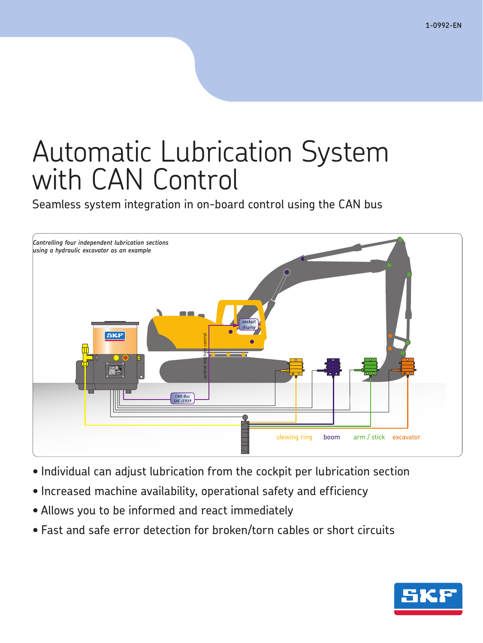# Automatic Lubrication System with CAN Control

Seamless system integration in on-board control using the CAN bus



- Individual can adjust lubrication from the cockpit per lubrication section
- Increased machine availability, operational safety and efficiency
- Allows you to be informed and react immediately
- Fast and safe error detection for broken/torn cables or short circuits

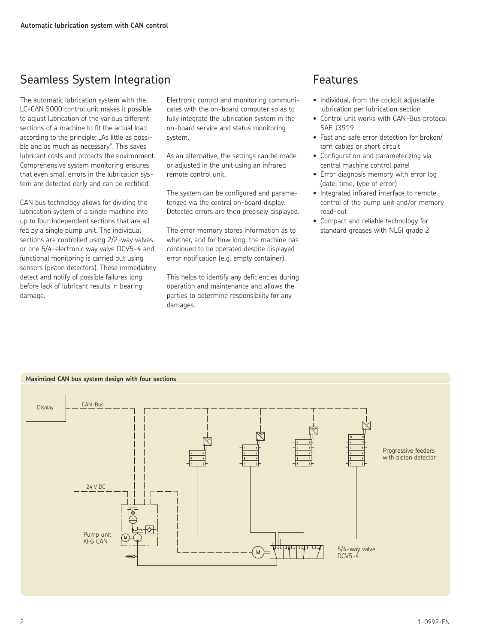# Seamless System Integration Features

The automatic lubrication system with the LC-CAN 5000 control unit makes it possible to adjust lubrication of the various different sections of a machine to fit the actual load according to the principle: "As little as possible and as much as necessary". This saves lubricant costs and protects the environment. Comprehensive system monitoring ensures that even small errors in the lubrication system are detected early and can be rectified.

CAN bus technology allows for dividing the lubrication system of a single machine into up to four independent sections that are all fed by a single pump unit. The individual sections are controlled using 2/2-way valves or one 5/4-electronic way valve DCV5-4 and functional monitoring is carried out using sensors (piston detectors). These immediately detect and notify of possible failures long before lack of lubricant results in bearing damage.

Electronic control and monitoring communicates with the on-board computer so as to fully integrate the lubrication system in the on-board service and status monitoring system.

As an alternative, the settings can be made or adjusted in the unit using an infrared remote control unit.

The system can be configured and parameterized via the central on-board display. Detected errors are then precisely displayed.

The error memory stores information as to whether, and for how long, the machine has continued to be operated despite displayed error notification (e.g. empty container).

This helps to identify any deficiencies during operation and maintenance and allows the parties to determine responsibility for any damages.

- Individual, from the cockpit adjustable lubrication per lubrication section
- Control unit works with CAN-Bus protocol SAE J3919
- Fast and safe error detection for broken/ torn cables or short circuit
- Configuration and parameterizing via central machine control panel
- Error diagnosis memory with error log (date, time, type of error)
- Integrated infrared interface to remote control of the pump unit and/or memory read-out
- Compact and reliable technology for standard greases with NLGI grade 2

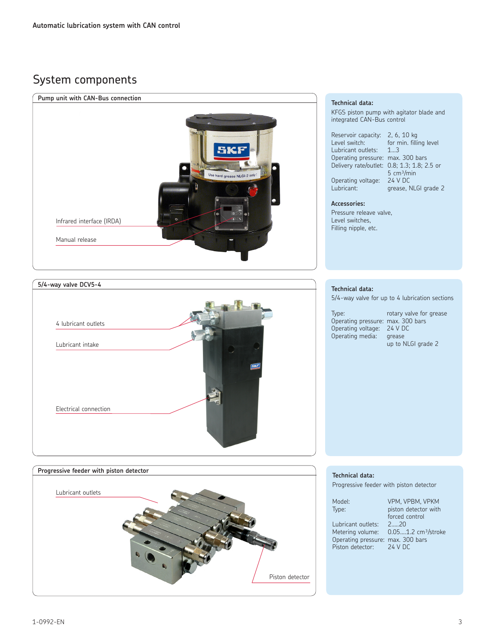# System components







#### **Technical data:**

Progressive feeder with piston detector

Operating pressure: max. 300 bars Operating voltage: 24 V DC Operating media: grease

up to NLGI grade 2

| Model:                            | VPM, VPBM, VPKM                                  |
|-----------------------------------|--------------------------------------------------|
| Type:                             | piston detector with                             |
|                                   | forced control                                   |
| Lubricant outlets: 220            |                                                  |
|                                   | Metering volume: 0.051.2 cm <sup>3</sup> /stroke |
| Operating pressure: max. 300 bars |                                                  |
| Piston detector: 24 V DC          |                                                  |
|                                   |                                                  |